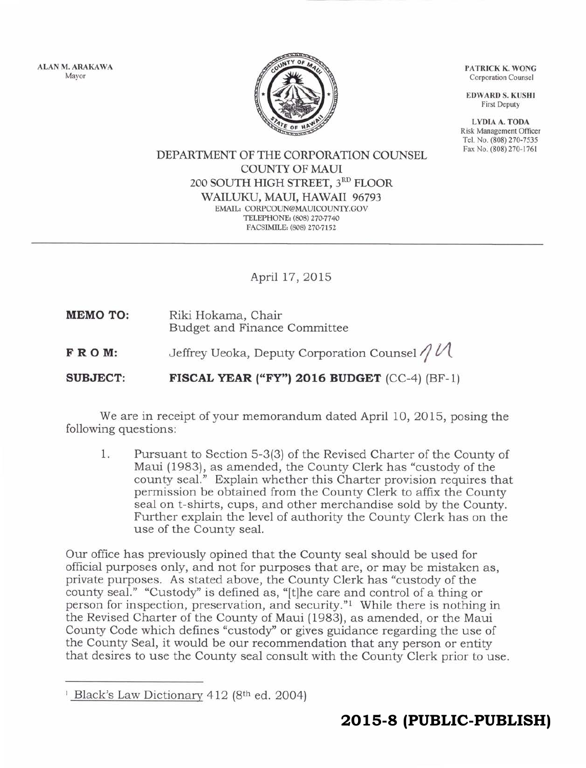ALAN M.ARAKAWA Mayor



PATRICK K. WONG Corporation Counsel

EDWARDS. KUSHI First Deputy

LYDIA A. TODA Risk Management Ofticer Tel. No. (808) 270-7535

## DEPARTMENT OF THE CORPORATION COUNSEL COUNTY OF MAUI 200 SOUTH HIGH STREET, 3RD FLOOR WAILUKU, MAUI, HAWAII 96793 EMAIL: CORPCOLIN@MAUICOLNTY.GOV TELEPHONE: (808) 270-7740 FACSIMILE: (808) 270-7152

April 17,2OI5

- Riki Hokama, Chair Budget and Finance Committee MEMO TO:
- FROM: Jeffrey Ueoka, Deputy Corporation Counsel  $/$   $/$

SUBJECT: **FISCAL YEAR ("FY") 2016 BUDGET** (CC-4) (BF-1)

We are in receipt of your memorandum dated April IO,2015, posing the following questions:

1. Pursuant to Section 5-3(3) of the Revised Charter of the County of Maui (1983), as amended, the County Clerk has "custody of the county seal." Explain whether this Charter provision requires that permission be obtained from the County Clerk to affix the County seal on t-shirts, cups, and other merchandise sold by the County. Further explain the level of authority the County Clerk has on the use of the County seal.

Our office has previously opined that the County seal should be used for official purposes only, and not for purposes that are, or may be mistaken as, private purposes. As stated above, the County Clerk has "custody of the county seal." "Custody" is defined as, "[t]he care and control of a thing or person for inspection, preservation, and security."l While there is nothing in the Revised Charter of the County of Maui (1983), as amended, or the Maui County Code which defines "custody" or gives guidance regarding the use of the County Seal, it would be our recommendation that any person or entity that desires to use the County seal consult with the County Clerk prior to use.

<sup>&</sup>lt;sup>1</sup> Black's Law Dictionary 412 (8<sup>th</sup> ed. 2004)